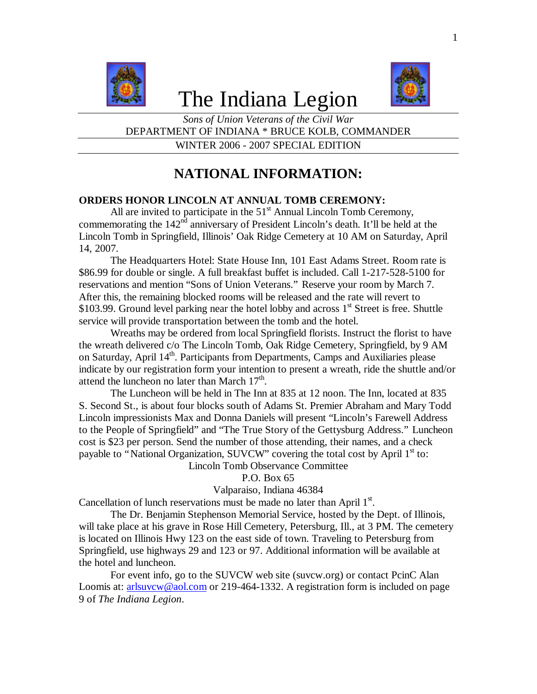

# The Indiana Legion



*Sons of Union Veterans of the Civil War* DEPARTMENT OF INDIANA \* BRUCE KOLB, COMMANDER WINTER 2006 - 2007 SPECIAL EDITION

# **NATIONAL INFORMATION:**

# **ORDERS HONOR LINCOLN AT ANNUAL TOMB CEREMONY:**

All are invited to participate in the  $51<sup>st</sup>$  Annual Lincoln Tomb Ceremony, commemorating the  $142<sup>nd</sup>$  anniversary of President Lincoln's death. It'll be held at the Lincoln Tomb in Springfield, Illinois' Oak Ridge Cemetery at 10 AM on Saturday, April 14, 2007.

The Headquarters Hotel: State House Inn, 101 East Adams Street. Room rate is \$86.99 for double or single. A full breakfast buffet is included. Call 1-217-528-5100 for reservations and mention "Sons of Union Veterans." Reserve your room by March 7. After this, the remaining blocked rooms will be released and the rate will revert to \$103.99. Ground level parking near the hotel lobby and across  $1<sup>st</sup>$  Street is free. Shuttle service will provide transportation between the tomb and the hotel.

Wreaths may be ordered from local Springfield florists. Instruct the florist to have the wreath delivered c/o The Lincoln Tomb, Oak Ridge Cemetery, Springfield, by 9 AM on Saturday, April 14<sup>th</sup>. Participants from Departments, Camps and Auxiliaries please indicate by our registration form your intention to present a wreath, ride the shuttle and/or attend the luncheon no later than March  $17<sup>th</sup>$ .

The Luncheon will be held in The Inn at 835 at 12 noon. The Inn, located at 835 S. Second St., is about four blocks south of Adams St. Premier Abraham and Mary Todd Lincoln impressionists Max and Donna Daniels will present "Lincoln's Farewell Address to the People of Springfield" and "The True Story of the Gettysburg Address." Luncheon cost is \$23 per person. Send the number of those attending, their names, and a check payable to "National Organization, SUVCW" covering the total cost by April  $1<sup>st</sup>$  to:

Lincoln Tomb Observance Committee

P.O. Box 65

Valparaiso, Indiana 46384

Cancellation of lunch reservations must be made no later than April  $1<sup>st</sup>$ .

The Dr. Benjamin Stephenson Memorial Service, hosted by the Dept. of Illinois, will take place at his grave in Rose Hill Cemetery, Petersburg, Ill., at 3 PM. The cemetery is located on Illinois Hwy 123 on the east side of town. Traveling to Petersburg from Springfield, use highways 29 and 123 or 97. Additional information will be available at the hotel and luncheon.

For event info, go to the SUVCW web site (suvcw.org) or contact PcinC Alan Loomis at: arlsuvcw@aol.com or 219-464-1332. A registration form is included on page 9 of *The Indiana Legion*.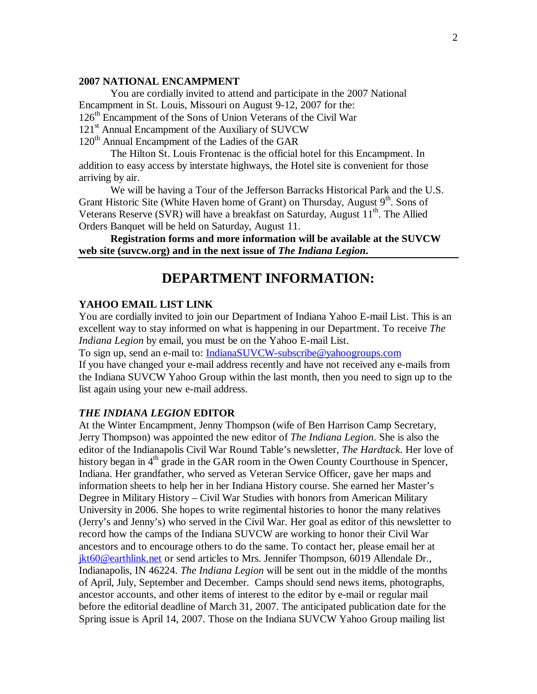#### **2007 NATIONAL ENCAMPMENT**

You are cordially invited to attend and participate in the 2007 National Encampment in St. Louis, Missouri on August 9-12, 2007 for the: 126<sup>th</sup> Encampment of the Sons of Union Veterans of the Civil War 121<sup>st</sup> Annual Encampment of the Auxiliary of SUVCW 120<sup>th</sup> Annual Encampment of the Ladies of the GAR

The Hilton St. Louis Frontenac is the official hotel for this Encampment. In addition to easy access by interstate highways, the Hotel site is convenient for those arriving by air.

We will be having a Tour of the Jefferson Barracks Historical Park and the U.S. Grant Historic Site (White Haven home of Grant) on Thursday, August  $9<sup>th</sup>$ . Sons of Veterans Reserve (SVR) will have a breakfast on Saturday, August 11<sup>th</sup>. The Allied Orders Banquet will be held on Saturday, August 11.

**Registration forms and more information will be available at the SUVCW web site (suvcw.org) and in the next issue of** *The Indiana Legion***.**

# **DEPARTMENT INFORMATION:**

# **YAHOO EMAIL LIST LINK**

You are cordially invited to join our Department of Indiana Yahoo E-mail List. This is an excellent way to stay informed on what is happening in our Department. To receive *The Indiana Legion* by email, you must be on the Yahoo E-mail List.

To sign up, send an e-mail to: IndianaSUVCW-subscribe@yahoogroups.com

If you have changed your e-mail address recently and have not received any e-mails from the Indiana SUVCW Yahoo Group within the last month, then you need to sign up to the list again using your new e-mail address.

#### *THE INDIANA LEGION* **EDITOR**

At the Winter Encampment, Jenny Thompson (wife of Ben Harrison Camp Secretary, Jerry Thompson) was appointed the new editor of *The Indiana Legion*. She is also the editor of the Indianapolis Civil War Round Table's newsletter, *The Hardtack*. Her love of history began in  $4<sup>th</sup>$  grade in the GAR room in the Owen County Courthouse in Spencer, Indiana. Her grandfather, who served as Veteran Service Officer, gave her maps and information sheets to help her in her Indiana History course. She earned her Master's Degree in Military History – Civil War Studies with honors from American Military University in 2006. She hopes to write regimental histories to honor the many relatives (Jerry's and Jenny's) who served in the Civil War. Her goal as editor of this newsletter to record how the camps of the Indiana SUVCW are working to honor their Civil War ancestors and to encourage others to do the same. To contact her, please email her at jkt60@earthlink.net or send articles to Mrs. Jennifer Thompson, 6019 Allendale Dr., Indianapolis, IN 46224. *The Indiana Legion* will be sent out in the middle of the months of April, July, September and December. Camps should send news items, photographs, ancestor accounts, and other items of interest to the editor by e-mail or regular mail before the editorial deadline of March 31, 2007. The anticipated publication date for the Spring issue is April 14, 2007. Those on the Indiana SUVCW Yahoo Group mailing list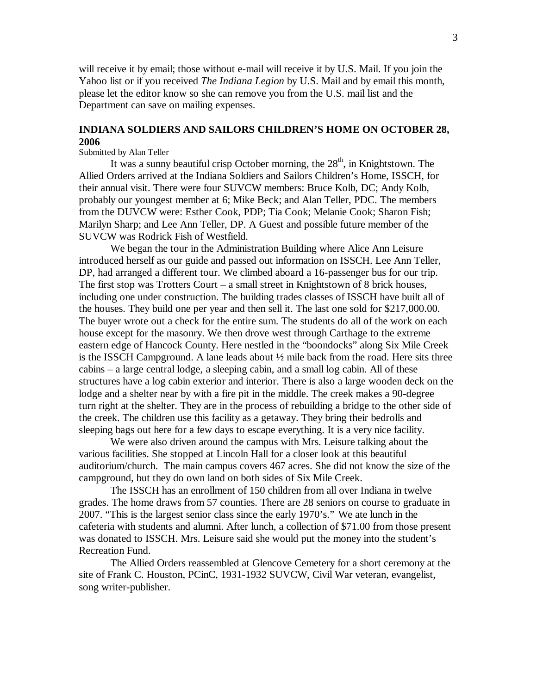will receive it by email; those without e-mail will receive it by U.S. Mail. If you join the Yahoo list or if you received *The Indiana Legion* by U.S. Mail and by email this month, please let the editor know so she can remove you from the U.S. mail list and the Department can save on mailing expenses.

# **INDIANA SOLDIERS AND SAILORS CHILDREN'S HOME ON OCTOBER 28, 2006**

#### Submitted by Alan Teller

It was a sunny beautiful crisp October morning, the  $28<sup>th</sup>$ , in Knightstown. The Allied Orders arrived at the Indiana Soldiers and Sailors Children's Home, ISSCH, for their annual visit. There were four SUVCW members: Bruce Kolb, DC; Andy Kolb, probably our youngest member at 6; Mike Beck; and Alan Teller, PDC. The members from the DUVCW were: Esther Cook, PDP; Tia Cook; Melanie Cook; Sharon Fish; Marilyn Sharp; and Lee Ann Teller, DP. A Guest and possible future member of the SUVCW was Rodrick Fish of Westfield.

We began the tour in the Administration Building where Alice Ann Leisure introduced herself as our guide and passed out information on ISSCH. Lee Ann Teller, DP, had arranged a different tour. We climbed aboard a 16-passenger bus for our trip. The first stop was Trotters Court – a small street in Knightstown of 8 brick houses, including one under construction. The building trades classes of ISSCH have built all of the houses. They build one per year and then sell it. The last one sold for \$217,000.00. The buyer wrote out a check for the entire sum. The students do all of the work on each house except for the masonry. We then drove west through Carthage to the extreme eastern edge of Hancock County. Here nestled in the "boondocks" along Six Mile Creek is the ISSCH Campground. A lane leads about ½ mile back from the road. Here sits three cabins – a large central lodge, a sleeping cabin, and a small log cabin. All of these structures have a log cabin exterior and interior. There is also a large wooden deck on the lodge and a shelter near by with a fire pit in the middle. The creek makes a 90-degree turn right at the shelter. They are in the process of rebuilding a bridge to the other side of the creek. The children use this facility as a getaway. They bring their bedrolls and sleeping bags out here for a few days to escape everything. It is a very nice facility.

We were also driven around the campus with Mrs. Leisure talking about the various facilities. She stopped at Lincoln Hall for a closer look at this beautiful auditorium/church. The main campus covers 467 acres. She did not know the size of the campground, but they do own land on both sides of Six Mile Creek.

The ISSCH has an enrollment of 150 children from all over Indiana in twelve grades. The home draws from 57 counties. There are 28 seniors on course to graduate in 2007. "This is the largest senior class since the early 1970's." We ate lunch in the cafeteria with students and alumni. After lunch, a collection of \$71.00 from those present was donated to ISSCH. Mrs. Leisure said she would put the money into the student's Recreation Fund.

The Allied Orders reassembled at Glencove Cemetery for a short ceremony at the site of Frank C. Houston, PCinC, 1931-1932 SUVCW, Civil War veteran, evangelist, song writer-publisher.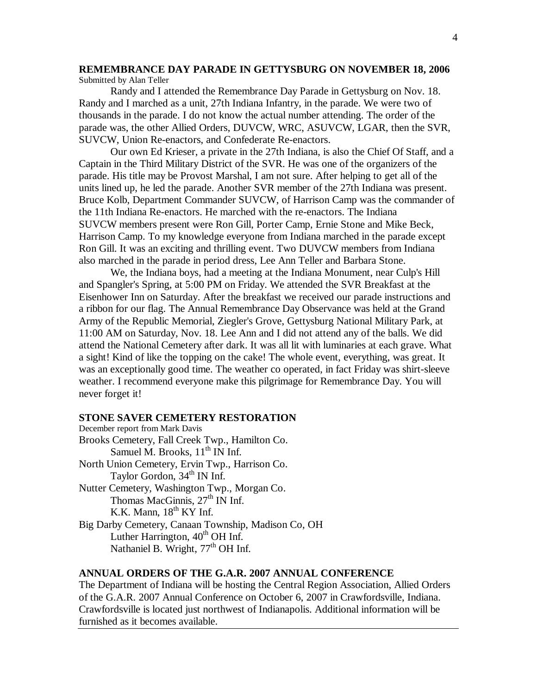#### **REMEMBRANCE DAY PARADE IN GETTYSBURG ON NOVEMBER 18, 2006** Submitted by Alan Teller

Randy and I attended the Remembrance Day Parade in Gettysburg on Nov. 18. Randy and I marched as a unit, 27th Indiana Infantry, in the parade. We were two of thousands in the parade. I do not know the actual number attending. The order of the parade was, the other Allied Orders, DUVCW, WRC, ASUVCW, LGAR, then the SVR, SUVCW, Union Re-enactors, and Confederate Re-enactors.

Our own Ed Krieser, a private in the 27th Indiana, is also the Chief Of Staff, and a Captain in the Third Military District of the SVR. He was one of the organizers of the parade. His title may be Provost Marshal, I am not sure. After helping to get all of the units lined up, he led the parade. Another SVR member of the 27th Indiana was present. Bruce Kolb, Department Commander SUVCW, of Harrison Camp was the commander of the 11th Indiana Re-enactors. He marched with the re-enactors. The Indiana SUVCW members present were Ron Gill, Porter Camp, Ernie Stone and Mike Beck, Harrison Camp. To my knowledge everyone from Indiana marched in the parade except Ron Gill. It was an exciting and thrilling event. Two DUVCW members from Indiana also marched in the parade in period dress, Lee Ann Teller and Barbara Stone.

We, the Indiana boys, had a meeting at the Indiana Monument, near Culp's Hill and Spangler's Spring, at 5:00 PM on Friday. We attended the SVR Breakfast at the Eisenhower Inn on Saturday. After the breakfast we received our parade instructions and a ribbon for our flag. The Annual Remembrance Day Observance was held at the Grand Army of the Republic Memorial, Ziegler's Grove, Gettysburg National Military Park, at 11:00 AM on Saturday, Nov. 18. Lee Ann and I did not attend any of the balls. We did attend the National Cemetery after dark. It was all lit with luminaries at each grave. What a sight! Kind of like the topping on the cake! The whole event, everything, was great. It was an exceptionally good time. The weather co operated, in fact Friday was shirt-sleeve weather. I recommend everyone make this pilgrimage for Remembrance Day. You will never forget it!

#### **STONE SAVER CEMETERY RESTORATION**

December report from Mark Davis Brooks Cemetery, Fall Creek Twp., Hamilton Co. Samuel M. Brooks,  $11<sup>th</sup>$  IN Inf. North Union Cemetery, Ervin Twp., Harrison Co. Taylor Gordon,  $34<sup>th</sup>$  IN Inf. Nutter Cemetery, Washington Twp., Morgan Co. Thomas MacGinnis, 27<sup>th</sup> IN Inf. K.K. Mann,  $18<sup>th</sup>$  KY Inf. Big Darby Cemetery, Canaan Township, Madison Co, OH Luther Harrington,  $40<sup>th</sup>$  OH Inf. Nathaniel B. Wright, 77<sup>th</sup> OH Inf.

### **ANNUAL ORDERS OF THE G.A.R. 2007 ANNUAL CONFERENCE**

The Department of Indiana will be hosting the Central Region Association, Allied Orders of the G.A.R. 2007 Annual Conference on October 6, 2007 in Crawfordsville, Indiana. Crawfordsville is located just northwest of Indianapolis. Additional information will be furnished as it becomes available.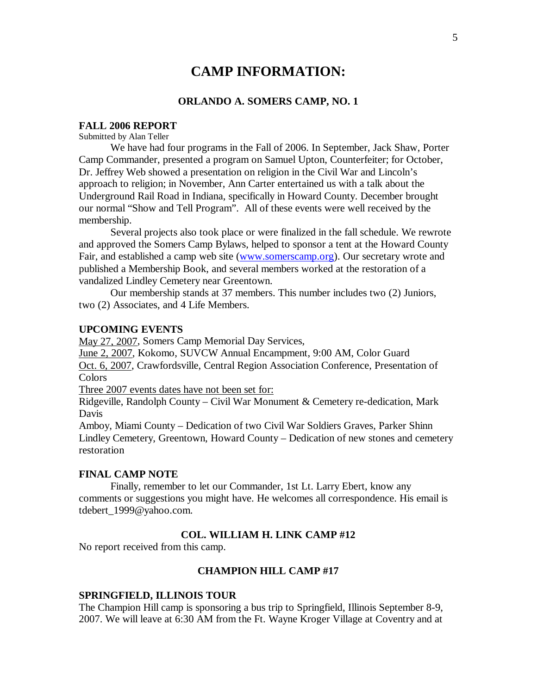# **CAMP INFORMATION:**

#### **ORLANDO A. SOMERS CAMP, NO. 1**

#### **FALL 2006 REPORT**

Submitted by Alan Teller

We have had four programs in the Fall of 2006. In September, Jack Shaw, Porter Camp Commander, presented a program on Samuel Upton, Counterfeiter; for October, Dr. Jeffrey Web showed a presentation on religion in the Civil War and Lincoln's approach to religion; in November, Ann Carter entertained us with a talk about the Underground Rail Road in Indiana, specifically in Howard County. December brought our normal "Show and Tell Program". All of these events were well received by the membership.

Several projects also took place or were finalized in the fall schedule. We rewrote and approved the Somers Camp Bylaws, helped to sponsor a tent at the Howard County Fair, and established a camp web site (www.somerscamp.org). Our secretary wrote and published a Membership Book, and several members worked at the restoration of a vandalized Lindley Cemetery near Greentown.

Our membership stands at 37 members. This number includes two (2) Juniors, two (2) Associates, and 4 Life Members.

#### **UPCOMING EVENTS**

May 27, 2007, Somers Camp Memorial Day Services,

June 2, 2007, Kokomo, SUVCW Annual Encampment, 9:00 AM, Color Guard Oct. 6, 2007, Crawfordsville, Central Region Association Conference, Presentation of Colors

Three 2007 events dates have not been set for:

Ridgeville, Randolph County – Civil War Monument & Cemetery re-dedication, Mark Davis

Amboy, Miami County – Dedication of two Civil War Soldiers Graves, Parker Shinn Lindley Cemetery, Greentown, Howard County – Dedication of new stones and cemetery restoration

#### **FINAL CAMP NOTE**

Finally, remember to let our Commander, 1st Lt. Larry Ebert, know any comments or suggestions you might have. He welcomes all correspondence. His email is tdebert\_1999@yahoo.com.

#### **COL. WILLIAM H. LINK CAMP #12**

No report received from this camp.

# **CHAMPION HILL CAMP #17**

#### **SPRINGFIELD, ILLINOIS TOUR**

The Champion Hill camp is sponsoring a bus trip to Springfield, Illinois September 8-9, 2007. We will leave at 6:30 AM from the Ft. Wayne Kroger Village at Coventry and at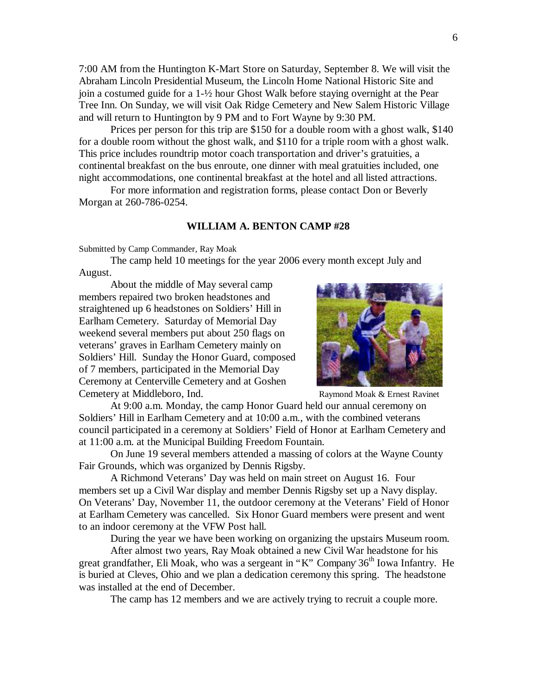7:00 AM from the Huntington K-Mart Store on Saturday, September 8. We will visit the Abraham Lincoln Presidential Museum, the Lincoln Home National Historic Site and join a costumed guide for a 1-½ hour Ghost Walk before staying overnight at the Pear Tree Inn. On Sunday, we will visit Oak Ridge Cemetery and New Salem Historic Village and will return to Huntington by 9 PM and to Fort Wayne by 9:30 PM.

Prices per person for this trip are \$150 for a double room with a ghost walk, \$140 for a double room without the ghost walk, and \$110 for a triple room with a ghost walk. This price includes roundtrip motor coach transportation and driver's gratuities, a continental breakfast on the bus enroute, one dinner with meal gratuities included, one night accommodations, one continental breakfast at the hotel and all listed attractions.

For more information and registration forms, please contact Don or Beverly Morgan at 260-786-0254.

#### **WILLIAM A. BENTON CAMP #28**

Submitted by Camp Commander, Ray Moak

The camp held 10 meetings for the year 2006 every month except July and August.

About the middle of May several camp members repaired two broken headstones and straightened up 6 headstones on Soldiers' Hill in Earlham Cemetery. Saturday of Memorial Day weekend several members put about 250 flags on veterans' graves in Earlham Cemetery mainly on Soldiers' Hill. Sunday the Honor Guard, composed of 7 members, participated in the Memorial Day Ceremony at Centerville Cemetery and at Goshen Cemetery at Middleboro, Ind. The Raymond Moak & Ernest Raymond Moak & Ernest Raymond Moak & Ernest Raymond Moak & Ernest Raymond Moak & Ernest Raymond Moak & Ernest Raymond Moak & Ernest Raymond Moak & Ernest Raymond Moak



At 9:00 a.m. Monday, the camp Honor Guard held our annual ceremony on Soldiers' Hill in Earlham Cemetery and at 10:00 a.m., with the combined veterans council participated in a ceremony at Soldiers' Field of Honor at Earlham Cemetery and at 11:00 a.m. at the Municipal Building Freedom Fountain.

On June 19 several members attended a massing of colors at the Wayne County Fair Grounds, which was organized by Dennis Rigsby.

A Richmond Veterans' Day was held on main street on August 16. Four members set up a Civil War display and member Dennis Rigsby set up a Navy display. On Veterans' Day, November 11, the outdoor ceremony at the Veterans' Field of Honor at Earlham Cemetery was cancelled. Six Honor Guard members were present and went to an indoor ceremony at the VFW Post hall.

During the year we have been working on organizing the upstairs Museum room.

After almost two years, Ray Moak obtained a new Civil War headstone for his great grandfather, Eli Moak, who was a sergeant in "K" Company 36<sup>th</sup> Iowa Infantry. He is buried at Cleves, Ohio and we plan a dedication ceremony this spring. The headstone was installed at the end of December.

The camp has 12 members and we are actively trying to recruit a couple more.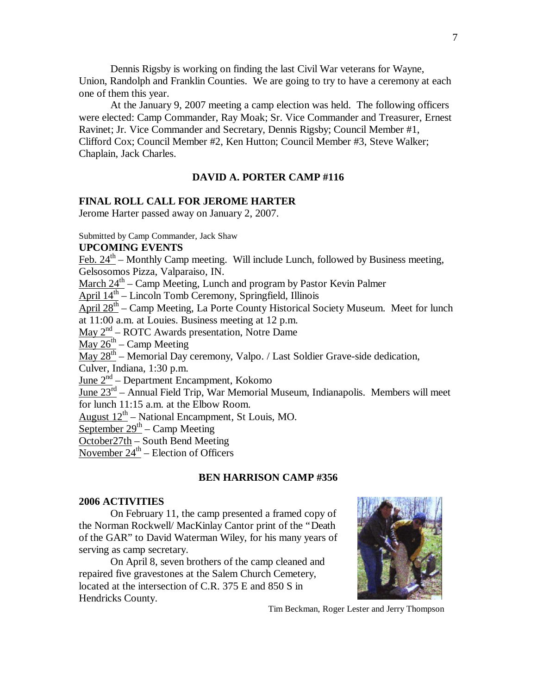Dennis Rigsby is working on finding the last Civil War veterans for Wayne, Union, Randolph and Franklin Counties. We are going to try to have a ceremony at each one of them this year.

At the January 9, 2007 meeting a camp election was held. The following officers were elected: Camp Commander, Ray Moak; Sr. Vice Commander and Treasurer, Ernest Ravinet; Jr. Vice Commander and Secretary, Dennis Rigsby; Council Member #1, Clifford Cox; Council Member #2, Ken Hutton; Council Member #3, Steve Walker; Chaplain, Jack Charles.

# **DAVID A. PORTER CAMP #116**

#### **FINAL ROLL CALL FOR JEROME HARTER**

Jerome Harter passed away on January 2, 2007.

Submitted by Camp Commander, Jack Shaw

## **UPCOMING EVENTS**

Feb.  $24<sup>th</sup>$  – Monthly Camp meeting. Will include Lunch, followed by Business meeting, Gelsosomos Pizza, Valparaiso, IN.

March  $24<sup>th</sup>$  – Camp Meeting, Lunch and program by Pastor Kevin Palmer

April 14<sup>th</sup> – Lincoln Tomb Ceremony, Springfield, Illinois

April 28<sup>th</sup> – Camp Meeting, La Porte County Historical Society Museum. Meet for lunch

at 11:00 a.m. at Louies. Business meeting at 12 p.m.

May  $2<sup>nd</sup>$  – ROTC Awards presentation, Notre Dame

 $\frac{\text{May }26^{\text{th}} - \text{Camp Meeting}}{$ 

 $\frac{\text{May } 28^{\text{th}}}{\text{M}}$  – Memorial Day ceremony, Valpo. / Last Soldier Grave-side dedication,

Culver, Indiana, 1:30 p.m.

June  $2<sup>nd</sup>$  – Department Encampment, Kokomo

June  $23^{rd}$  – Annual Field Trip, War Memorial Museum, Indianapolis. Members will meet for lunch 11:15 a.m. at the Elbow Room.

 $\frac{\text{August } 12^{\text{th}}}{\text{National Encomponent}}$ , St Louis, MO.

September  $29<sup>th</sup>$  – Camp Meeting

October27th – South Bend Meeting

November  $24^{\text{th}}$  – Election of Officers

# **BEN HARRISON CAMP #356**

#### **2006 ACTIVITIES**

On February 11, the camp presented a framed copy of the Norman Rockwell/ MacKinlay Cantor print of the "Death of the GAR" to David Waterman Wiley, for his many years of serving as camp secretary.

On April 8, seven brothers of the camp cleaned and repaired five gravestones at the Salem Church Cemetery, located at the intersection of C.R. 375 E and 850 S in Hendricks County.



Tim Beckman, Roger Lester and Jerry Thompson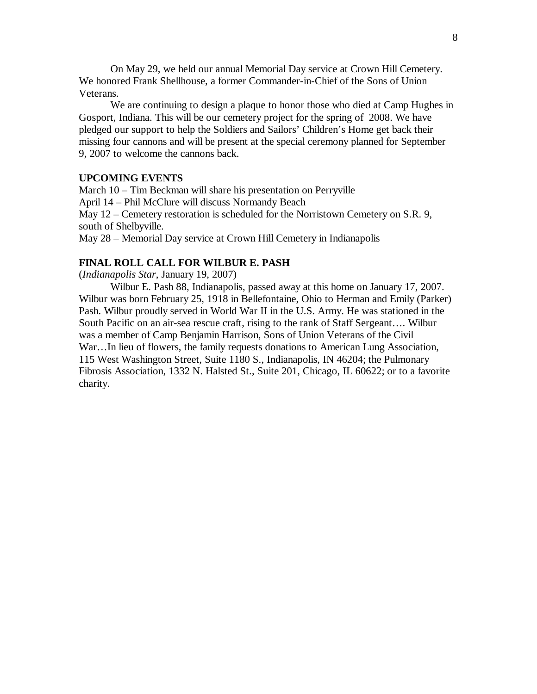On May 29, we held our annual Memorial Day service at Crown Hill Cemetery. We honored Frank Shellhouse, a former Commander-in-Chief of the Sons of Union Veterans.

We are continuing to design a plaque to honor those who died at Camp Hughes in Gosport, Indiana. This will be our cemetery project for the spring of 2008. We have pledged our support to help the Soldiers and Sailors' Children's Home get back their missing four cannons and will be present at the special ceremony planned for September 9, 2007 to welcome the cannons back.

# **UPCOMING EVENTS**

March 10 – Tim Beckman will share his presentation on Perryville April 14 – Phil McClure will discuss Normandy Beach May 12 – Cemetery restoration is scheduled for the Norristown Cemetery on S.R. 9, south of Shelbyville.

May 28 – Memorial Day service at Crown Hill Cemetery in Indianapolis

## **FINAL ROLL CALL FOR WILBUR E. PASH**

(*Indianapolis Star*, January 19, 2007)

Wilbur E. Pash 88, Indianapolis, passed away at this home on January 17, 2007. Wilbur was born February 25, 1918 in Bellefontaine, Ohio to Herman and Emily (Parker) Pash. Wilbur proudly served in World War II in the U.S. Army. He was stationed in the South Pacific on an air-sea rescue craft, rising to the rank of Staff Sergeant… . Wilbur was a member of Camp Benjamin Harrison, Sons of Union Veterans of the Civil War...In lieu of flowers, the family requests donations to American Lung Association, 115 West Washington Street, Suite 1180 S., Indianapolis, IN 46204; the Pulmonary Fibrosis Association, 1332 N. Halsted St., Suite 201, Chicago, IL 60622; or to a favorite charity.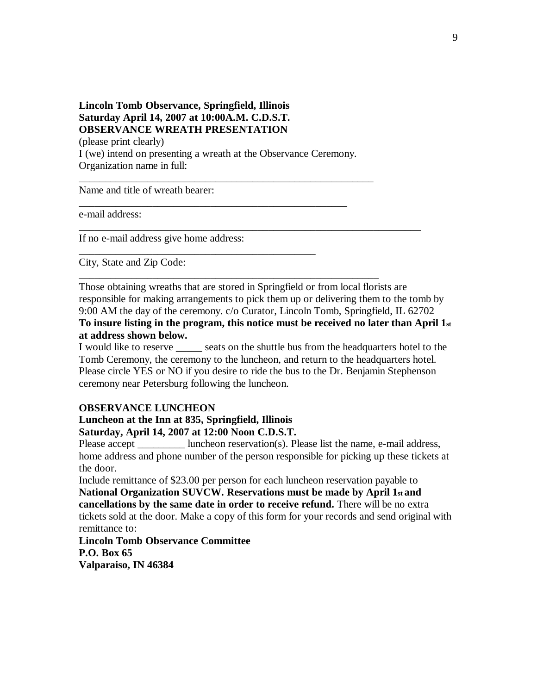# **Lincoln Tomb Observance, Springfield, Illinois Saturday April 14, 2007 at 10:00A.M. C.D.S.T. OBSERVANCE WREATH PRESENTATION** (please print clearly)

I (we) intend on presenting a wreath at the Observance Ceremony. Organization name in full:

\_\_\_\_\_\_\_\_\_\_\_\_\_\_\_\_\_\_\_\_\_\_\_\_\_\_\_\_\_\_\_\_\_\_\_\_\_\_\_\_\_\_\_\_\_\_\_\_\_\_\_

\_\_\_\_\_\_\_\_\_\_\_\_\_\_\_\_\_\_\_\_\_\_\_\_\_\_\_\_\_\_\_\_\_\_\_\_\_\_\_\_\_\_\_\_\_

\_\_\_\_\_\_\_\_\_\_\_\_\_\_\_\_\_\_\_\_\_\_\_\_\_\_\_\_\_\_\_\_\_\_\_\_\_\_\_\_\_\_\_\_\_\_\_\_\_\_\_\_\_\_\_\_

\_\_\_\_\_\_\_\_\_\_\_\_\_\_\_\_\_\_\_\_\_\_\_\_\_\_\_\_\_\_\_\_\_\_\_\_\_\_\_\_\_\_\_\_\_\_\_\_\_\_\_\_\_\_\_\_\_

Name and title of wreath bearer:

e-mail address:

If no e-mail address give home address:

City, State and Zip Code:

Those obtaining wreaths that are stored in Springfield or from local florists are responsible for making arrangements to pick them up or delivering them to the tomb by 9:00 AM the day of the ceremony. c/o Curator, Lincoln Tomb, Springfield, IL 62702

\_\_\_\_\_\_\_\_\_\_\_\_\_\_\_\_\_\_\_\_\_\_\_\_\_\_\_\_\_\_\_\_\_\_\_\_\_\_\_\_\_\_\_\_\_\_\_\_\_\_\_\_\_\_\_\_\_\_\_\_\_\_\_\_\_

**To insure listing in the program, this notice must be received no later than April 1st at address shown below.**

I would like to reserve \_\_\_\_\_ seats on the shuttle bus from the headquarters hotel to the Tomb Ceremony, the ceremony to the luncheon, and return to the headquarters hotel. Please circle YES or NO if you desire to ride the bus to the Dr. Benjamin Stephenson ceremony near Petersburg following the luncheon.

#### **OBSERVANCE LUNCHEON**

### **Luncheon at the Inn at 835, Springfield, Illinois Saturday, April 14, 2007 at 12:00 Noon C.D.S.T.**

Please accept luncheon reservation(s). Please list the name, e-mail address, home address and phone number of the person responsible for picking up these tickets at the door.

Include remittance of \$23.00 per person for each luncheon reservation payable to **National Organization SUVCW. Reservations must be made by April 1st and cancellations by the same date in order to receive refund.** There will be no extra tickets sold at the door. Make a copy of this form for your records and send original with remittance to:

**Lincoln Tomb Observance Committee P.O. Box 65 Valparaiso, IN 46384**